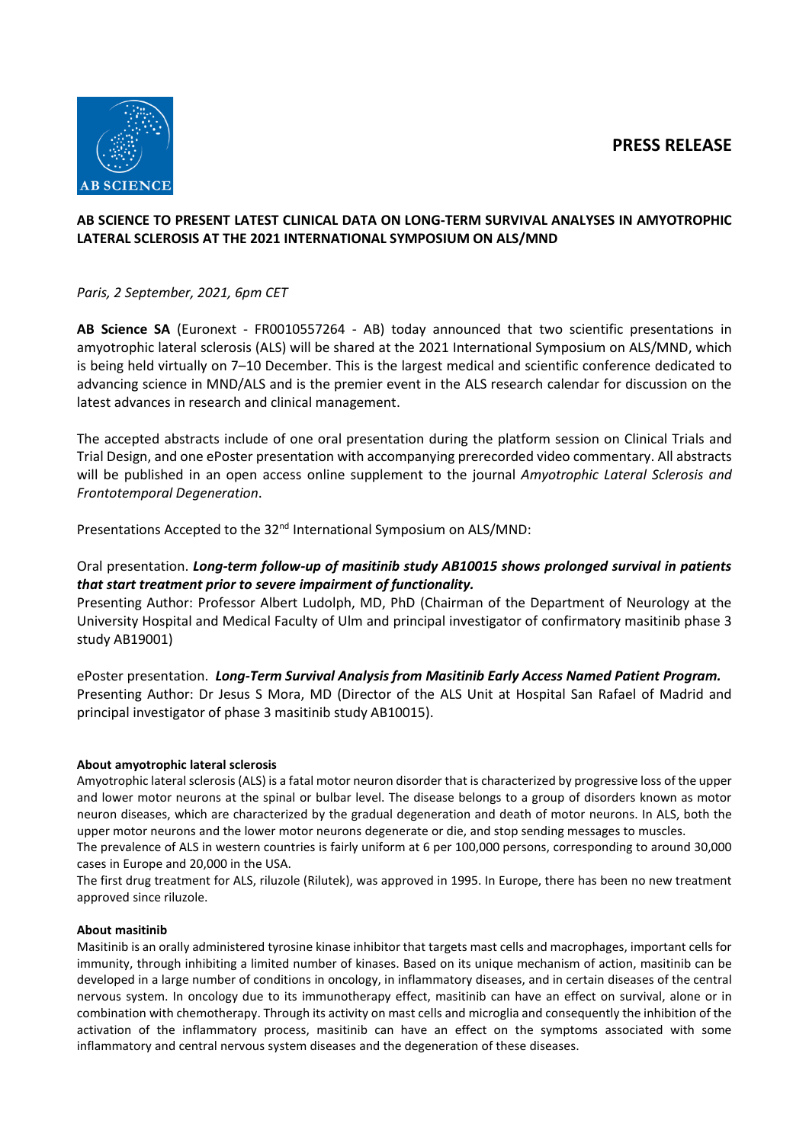# **PRESS RELEASE**



### **AB SCIENCE TO PRESENT LATEST CLINICAL DATA ON LONG-TERM SURVIVAL ANALYSES IN AMYOTROPHIC LATERAL SCLEROSIS AT THE 2021 INTERNATIONAL SYMPOSIUM ON ALS/MND**

*Paris, 2 September, 2021, 6pm CET*

**AB Science SA** (Euronext - FR0010557264 - AB) today announced that two scientific presentations in amyotrophic lateral sclerosis (ALS) will be shared at the 2021 International Symposium on ALS/MND, which is being held virtually on 7–10 December. This is the largest medical and scientific conference dedicated to advancing science in MND/ALS and is the premier event in the ALS research calendar for discussion on the latest advances in research and clinical management.

The accepted abstracts include of one oral presentation during the platform session on Clinical Trials and Trial Design, and one ePoster presentation with accompanying prerecorded video commentary. All abstracts will be published in an open access online supplement to the journal *Amyotrophic Lateral Sclerosis and Frontotemporal Degeneration*.

Presentations Accepted to the 32<sup>nd</sup> International Symposium on ALS/MND:

## Oral presentation. *Long-term follow-up of masitinib study AB10015 shows prolonged survival in patients that start treatment prior to severe impairment of functionality.*

Presenting Author: Professor Albert Ludolph, MD, PhD (Chairman of the Department of Neurology at the University Hospital and Medical Faculty of Ulm and principal investigator of confirmatory masitinib phase 3 study AB19001)

ePoster presentation. *Long-Term Survival Analysis from Masitinib Early Access Named Patient Program.* Presenting Author: Dr Jesus S Mora, MD (Director of the ALS Unit at Hospital San Rafael of Madrid and principal investigator of phase 3 masitinib study AB10015).

### **About amyotrophic lateral sclerosis**

Amyotrophic lateral sclerosis (ALS) is a fatal motor neuron disorder that is characterized by progressive loss of the upper and lower motor neurons at the spinal or bulbar level. The disease belongs to a group of disorders known as motor neuron diseases, which are characterized by the gradual degeneration and death of motor neurons. In ALS, both the upper motor neurons and the lower motor neurons degenerate or die, and stop sending messages to muscles.

The prevalence of ALS in western countries is fairly uniform at 6 per 100,000 persons, corresponding to around 30,000 cases in Europe and 20,000 in the USA.

The first drug treatment for ALS, riluzole (Rilutek), was approved in 1995. In Europe, there has been no new treatment approved since riluzole.

### **About masitinib**

Masitinib is an orally administered tyrosine kinase inhibitor that targets mast cells and macrophages, important cells for immunity, through inhibiting a limited number of kinases. Based on its unique mechanism of action, masitinib can be developed in a large number of conditions in oncology, in inflammatory diseases, and in certain diseases of the central nervous system. In oncology due to its immunotherapy effect, masitinib can have an effect on survival, alone or in combination with chemotherapy. Through its activity on mast cells and microglia and consequently the inhibition of the activation of the inflammatory process, masitinib can have an effect on the symptoms associated with some inflammatory and central nervous system diseases and the degeneration of these diseases.